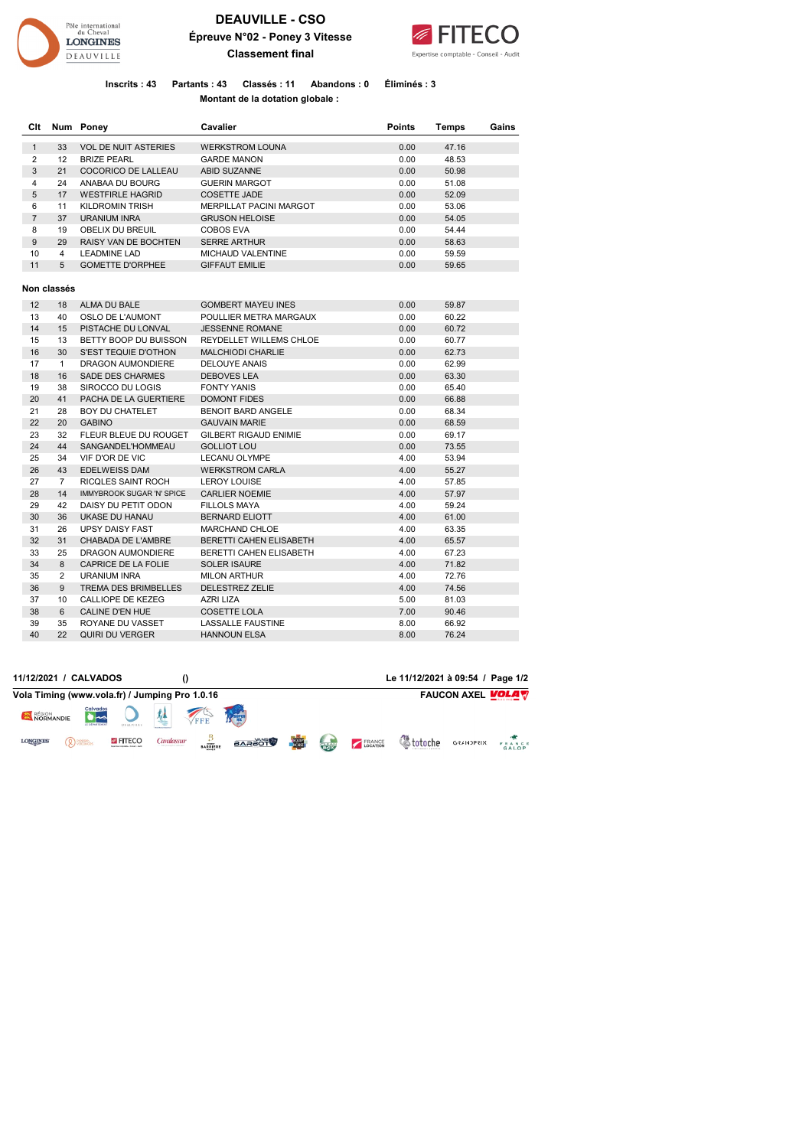

## **DEAUVILLE - CSO Épreuve N°02 - Poney 3 Vitesse Classement final**



**Inscrits : 43 Partants : 43 Classés : 11 Abandons : 0 Éliminés : 3 Montant de la dotation globale :** 

| Clt            |                | Num Poney                   | Cavalier                     | <b>Points</b> | Temps | Gains |
|----------------|----------------|-----------------------------|------------------------------|---------------|-------|-------|
| $\mathbf{1}$   | 33             | <b>VOL DE NUIT ASTERIES</b> | <b>WERKSTROM LOUNA</b>       | 0.00          | 47.16 |       |
| $\overline{2}$ | 12             | <b>BRIZE PEARL</b>          | <b>GARDE MANON</b>           | 0.00          | 48.53 |       |
| 3              | 21             | COCORICO DE LALLEAU         | <b>ABID SUZANNE</b>          | 0.00          | 50.98 |       |
| 4              | 24             | ANABAA DU BOURG             | <b>GUERIN MARGOT</b>         | 0.00          | 51.08 |       |
| 5              | 17             | <b>WESTFIRLE HAGRID</b>     | <b>COSETTE JADE</b>          | 0.00          | 52.09 |       |
| 6              | 11             | <b>KILDROMIN TRISH</b>      | MERPILLAT PACINI MARGOT      | 0.00          | 53.06 |       |
| $\overline{7}$ | 37             | <b>URANIUM INRA</b>         | <b>GRUSON HELOISE</b>        | 0.00          | 54.05 |       |
| 8              | 19             | OBELIX DU BREUIL            | <b>COBOS EVA</b>             | 0.00          | 54.44 |       |
| 9              | 29             | RAISY VAN DE BOCHTEN        | <b>SERRE ARTHUR</b>          | 0.00          | 58.63 |       |
| 10             | $\overline{4}$ | <b>LEADMINE LAD</b>         | <b>MICHAUD VALENTINE</b>     | 0.00          | 59.59 |       |
| 11             | 5              | <b>GOMETTE D'ORPHEE</b>     | <b>GIFFAUT EMILIE</b>        | 0.00          | 59.65 |       |
|                |                |                             |                              |               |       |       |
|                | Non classés    |                             |                              |               |       |       |
| 12             | 18             | <b>ALMA DU BALE</b>         | <b>GOMBERT MAYEU INES</b>    | 0.00          | 59.87 |       |
| 13             | 40             | <b>OSLO DE L'AUMONT</b>     | POULLIER METRA MARGAUX       | 0.00          | 60.22 |       |
| 14             | 15             | PISTACHE DU LONVAL          | <b>JESSENNE ROMANE</b>       | 0.00          | 60.72 |       |
| 15             | 13             | BETTY BOOP DU BUISSON       | REYDELLET WILLEMS CHLOE      | 0.00          | 60.77 |       |
| 16             | 30             | S'EST TEQUIE D'OTHON        | <b>MALCHIODI CHARLIE</b>     | 0.00          | 62.73 |       |
| 17             | $\mathbf{1}$   | DRAGON AUMONDIERE           | <b>DELOUYE ANAIS</b>         | 0.00          | 62.99 |       |
| 18             | 16             | <b>SADE DES CHARMES</b>     | <b>DEBOVES LEA</b>           | 0.00          | 63.30 |       |
| 19             | 38             | SIROCCO DU LOGIS            | <b>FONTY YANIS</b>           | 0.00          | 65.40 |       |
| 20             | 41             | PACHA DE LA GUERTIERE       | <b>DOMONT FIDES</b>          | 0.00          | 66.88 |       |
| 21             | 28             | <b>BOY DU CHATELET</b>      | <b>BENOIT BARD ANGELE</b>    | 0.00          | 68.34 |       |
| 22             | 20             | <b>GABINO</b>               | <b>GAUVAIN MARIE</b>         | 0.00          | 68.59 |       |
| 23             | 32             | FLEUR BLEUE DU ROUGET       | <b>GILBERT RIGAUD ENIMIE</b> | 0.00          | 69.17 |       |
| 24             | 44             | SANGANDEL'HOMMEAU           | <b>GOLLIOT LOU</b>           | 0.00          | 73.55 |       |
| 25             | 34             | VIF D'OR DE VIC             | <b>LECANU OLYMPE</b>         | 4.00          | 53.94 |       |
| 26             | 43             | <b>EDELWEISS DAM</b>        | <b>WERKSTROM CARLA</b>       | 4.00          | 55.27 |       |
| 27             | $\overline{7}$ | RICQLES SAINT ROCH          | <b>LEROY LOUISE</b>          | 4.00          | 57.85 |       |
| 28             | 14             | IMMYBROOK SUGAR 'N' SPICE   | <b>CARLIER NOEMIE</b>        | 4.00          | 57.97 |       |
| 29             | 42             | DAISY DU PETIT ODON         | <b>FILLOLS MAYA</b>          | 4.00          | 59.24 |       |
| 30             | 36             | UKASE DU HANAU              | <b>BERNARD ELIOTT</b>        | 4.00          | 61.00 |       |
| 31             | 26             | <b>UPSY DAISY FAST</b>      | <b>MARCHAND CHLOE</b>        | 4.00          | 63.35 |       |
| 32             | 31             | <b>CHABADA DE L'AMBRE</b>   | BERETTI CAHEN ELISABETH      | 4.00          | 65.57 |       |
| 33             | 25             | DRAGON AUMONDIERE           | BERETTI CAHEN ELISABETH      | 4.00          | 67.23 |       |
| 34             | 8              | CAPRICE DE LA FOLIE         | <b>SOLER ISAURE</b>          | 4.00          | 71.82 |       |
| 35             | $\overline{2}$ | URANIUM INRA                | <b>MILON ARTHUR</b>          | 4.00          | 72.76 |       |
| 36             | 9              | <b>TREMA DES BRIMBELLES</b> | <b>DELESTREZ ZELIE</b>       | 4.00          | 74.56 |       |
| 37             | 10             | <b>CALLIOPE DE KEZEG</b>    | <b>AZRI LIZA</b>             | 5.00          | 81.03 |       |
| 38             | 6              | <b>CALINE D'EN HUE</b>      | <b>COSETTE LOLA</b>          | 7.00          | 90.46 |       |
| 39             | 35             | ROYANE DU VASSET            | <b>LASSALLE FAUSTINE</b>     | 8.00          | 66.92 |       |
| 40             | 22             | <b>QUIRI DU VERGER</b>      | <b>HANNOUN ELSA</b>          | 8.00          | 76.24 |       |

|                     | 11/12/2021 / CALVADOS                          |                 |            |                                    |               |              |             |               | Le 11/12/2021 à 09:54 / Page 1/2 |                          |                 |
|---------------------|------------------------------------------------|-----------------|------------|------------------------------------|---------------|--------------|-------------|---------------|----------------------------------|--------------------------|-----------------|
|                     | Vola Timing (www.vola.fr) / Jumping Pro 1.0.16 |                 |            |                                    |               |              |             |               |                                  | <b>FAUCON AXEL VOLAV</b> |                 |
| RÉGION<br>NORMANDIE | Calvados<br>LE DÉPARTEMENT                     | DEAUVILLE       |            | FFE                                |               |              |             |               |                                  |                          |                 |
| <b>LONGINES</b>     | Q PICRRO.                                      | <b>S FITECO</b> | Cavalassur | <b>BARRIERE</b><br><b>BRANCHLA</b> | <b>BARAOT</b> | <b>EQUIP</b> | <b>COOK</b> | <b>ERANCE</b> |                                  | <b>GRANDPRIX</b>         | FRANCE<br>GALOP |